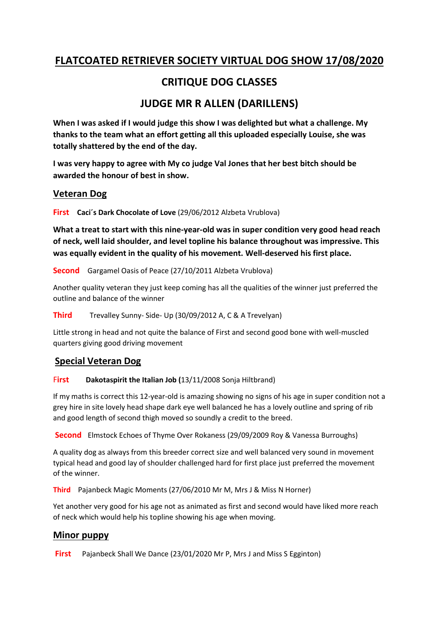# FLATCOATED RETRIEVER SOCIETY VIRTUAL DOG SHOW 17/08/2020

# CRITIQUE DOG CLASSES

# JUDGE MR R ALLEN (DARILLENS)

When I was asked if I would judge this show I was delighted but what a challenge. My thanks to the team what an effort getting all this uploaded especially Louise, she was totally shattered by the end of the day.

I was very happy to agree with My co judge Val Jones that her best bitch should be awarded the honour of best in show.

## Veteran Dog

First Caci's Dark Chocolate of Love (29/06/2012 Alzbeta Vrublova)

What a treat to start with this nine-year-old was in super condition very good head reach of neck, well laid shoulder, and level topline his balance throughout was impressive. This was equally evident in the quality of his movement. Well-deserved his first place.

Second Gargamel Oasis of Peace (27/10/2011 Alzbeta Vrublova)

Another quality veteran they just keep coming has all the qualities of the winner just preferred the outline and balance of the winner

Third Trevalley Sunny- Side- Up (30/09/2012 A, C & A Trevelyan)

Little strong in head and not quite the balance of First and second good bone with well-muscled quarters giving good driving movement

# Special Veteran Dog

## First Dakotaspirit the Italian Job (13/11/2008 Sonja Hiltbrand)

If my maths is correct this 12-year-old is amazing showing no signs of his age in super condition not a grey hire in site lovely head shape dark eye well balanced he has a lovely outline and spring of rib and good length of second thigh moved so soundly a credit to the breed.

Second Elmstock Echoes of Thyme Over Rokaness (29/09/2009 Roy & Vanessa Burroughs)

A quality dog as always from this breeder correct size and well balanced very sound in movement typical head and good lay of shoulder challenged hard for first place just preferred the movement of the winner.

Third Pajanbeck Magic Moments (27/06/2010 Mr M, Mrs J & Miss N Horner)

Yet another very good for his age not as animated as first and second would have liked more reach of neck which would help his topline showing his age when moving.

# Minor puppy

First Pajanbeck Shall We Dance (23/01/2020 Mr P, Mrs J and Miss S Egginton)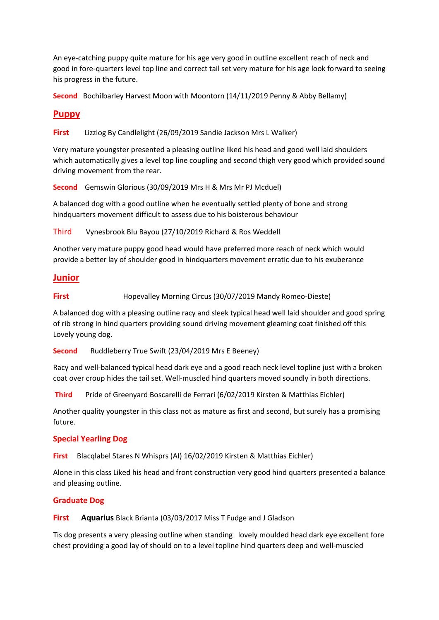An eye-catching puppy quite mature for his age very good in outline excellent reach of neck and good in fore-quarters level top line and correct tail set very mature for his age look forward to seeing his progress in the future.

Second Bochilbarley Harvest Moon with Moontorn (14/11/2019 Penny & Abby Bellamy)

## Puppy

First Lizzlog By Candlelight (26/09/2019 Sandie Jackson Mrs L Walker)

Very mature youngster presented a pleasing outline liked his head and good well laid shoulders which automatically gives a level top line coupling and second thigh very good which provided sound driving movement from the rear.

Second Gemswin Glorious (30/09/2019 Mrs H & Mrs Mr PJ Mcduel)

A balanced dog with a good outline when he eventually settled plenty of bone and strong hindquarters movement difficult to assess due to his boisterous behaviour

Third Vynesbrook Blu Bayou (27/10/2019 Richard & Ros Weddell

Another very mature puppy good head would have preferred more reach of neck which would provide a better lay of shoulder good in hindquarters movement erratic due to his exuberance

#### Junior

#### First Hopevalley Morning Circus (30/07/2019 Mandy Romeo-Dieste)

A balanced dog with a pleasing outline racy and sleek typical head well laid shoulder and good spring of rib strong in hind quarters providing sound driving movement gleaming coat finished off this Lovely young dog.

Second Ruddleberry True Swift (23/04/2019 Mrs E Beeney)

Racy and well-balanced typical head dark eye and a good reach neck level topline just with a broken coat over croup hides the tail set. Well-muscled hind quarters moved soundly in both directions.

Third Pride of Greenyard Boscarelli de Ferrari (6/02/2019 Kirsten & Matthias Eichler)

Another quality youngster in this class not as mature as first and second, but surely has a promising future.

#### Special Yearling Dog

First Blacqlabel Stares N Whisprs (AI) 16/02/2019 Kirsten & Matthias Eichler)

Alone in this class Liked his head and front construction very good hind quarters presented a balance and pleasing outline.

#### Graduate Dog

First Aquarius Black Brianta (03/03/2017 Miss T Fudge and J Gladson

Tis dog presents a very pleasing outline when standing lovely moulded head dark eye excellent fore chest providing a good lay of should on to a level topline hind quarters deep and well-muscled